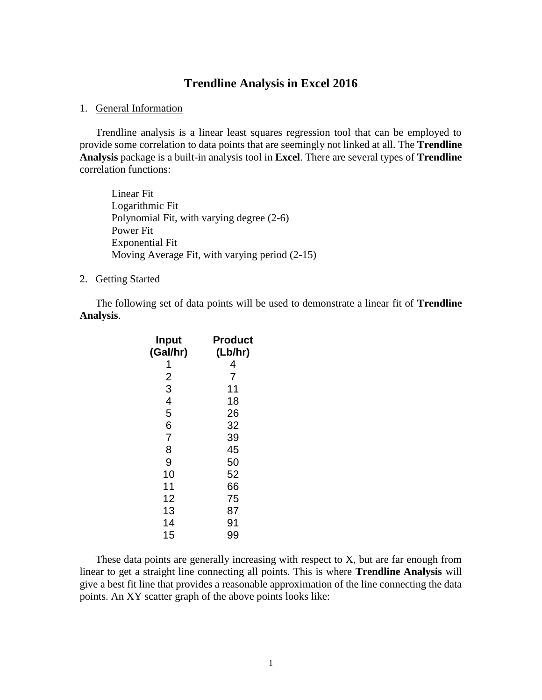## **Trendline Analysis in Excel 2016**

## 1. General Information

Trendline analysis is a linear least squares regression tool that can be employed to provide some correlation to data points that are seemingly not linked at all. The **Trendline Analysis** package is a built-in analysis tool in **Excel**. There are several types of **Trendline** correlation functions:

Linear Fit Logarithmic Fit Polynomial Fit, with varying degree (2-6) Power Fit Exponential Fit Moving Average Fit, with varying period (2-15)

## 2. Getting Started

The following set of data points will be used to demonstrate a linear fit of **Trendline Analysis**.

| Product |
|---------|
| (Lb/hr) |
| 4       |
| 7       |
| 11      |
| 18      |
| 26      |
| 32      |
| 39      |
| 45      |
| 50      |
| 52      |
| 66      |
| 75      |
| 87      |
| 91      |
| 99      |
|         |

These data points are generally increasing with respect to X, but are far enough from linear to get a straight line connecting all points. This is where **Trendline Analysis** will give a best fit line that provides a reasonable approximation of the line connecting the data points. An XY scatter graph of the above points looks like: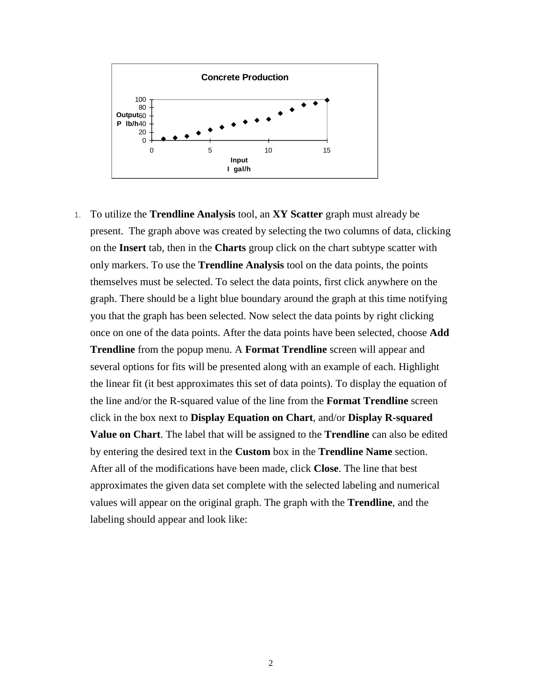

1. To utilize the **Trendline Analysis** tool, an **XY Scatter** graph must already be present. The graph above was created by selecting the two columns of data, clicking on the **Insert** tab, then in the **Charts** group click on the chart subtype scatter with only markers. To use the **Trendline Analysis** tool on the data points, the points themselves must be selected. To select the data points, first click anywhere on the graph. There should be a light blue boundary around the graph at this time notifying you that the graph has been selected. Now select the data points by right clicking once on one of the data points. After the data points have been selected, choose **Add Trendline** from the popup menu. A **Format Trendline** screen will appear and several options for fits will be presented along with an example of each. Highlight the linear fit (it best approximates this set of data points). To display the equation of the line and/or the R-squared value of the line from the **Format Trendline** screen click in the box next to **Display Equation on Chart**, and/or **Display R-squared Value on Chart**. The label that will be assigned to the **Trendline** can also be edited by entering the desired text in the **Custom** box in the **Trendline Name** section. After all of the modifications have been made, click **Close**. The line that best approximates the given data set complete with the selected labeling and numerical values will appear on the original graph. The graph with the **Trendline**, and the labeling should appear and look like: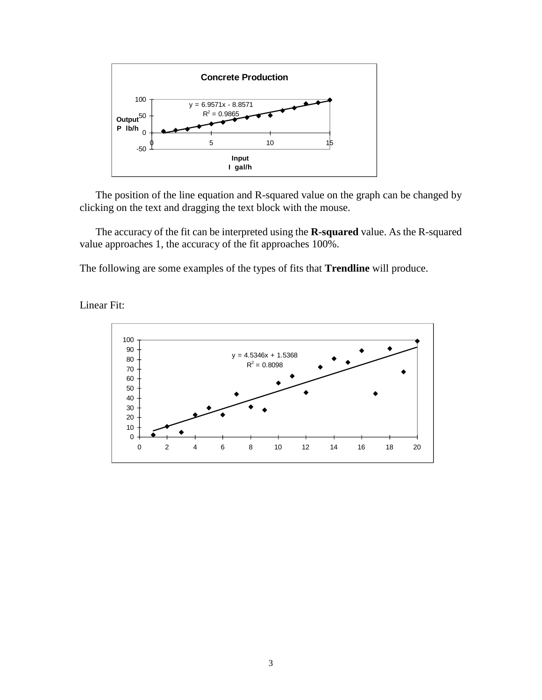

The position of the line equation and R-squared value on the graph can be changed by clicking on the text and dragging the text block with the mouse.

The accuracy of the fit can be interpreted using the **R-squared** value. As the R-squared value approaches 1, the accuracy of the fit approaches 100%.

The following are some examples of the types of fits that **Trendline** will produce.



Linear Fit: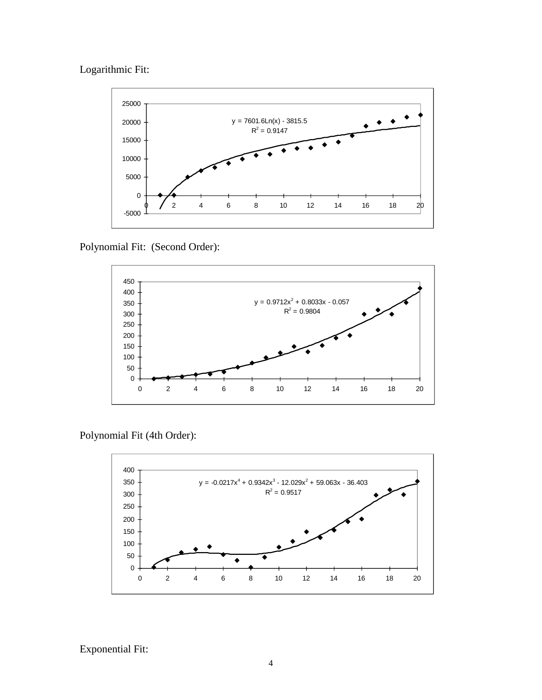Logarithmic Fit:



Polynomial Fit: (Second Order):



Polynomial Fit (4th Order):



Exponential Fit: